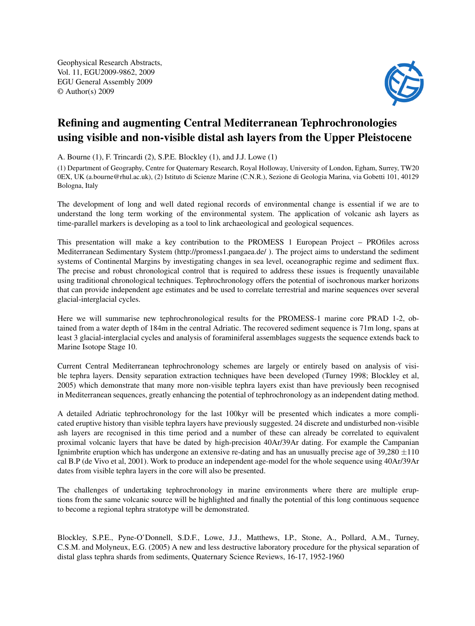Geophysical Research Abstracts, Vol. 11, EGU2009-9862, 2009 EGU General Assembly 2009 © Author(s) 2009



## Refining and augmenting Central Mediterranean Tephrochronologies using visible and non-visible distal ash layers from the Upper Pleistocene

A. Bourne (1), F. Trincardi (2), S.P.E. Blockley (1), and J.J. Lowe (1)

(1) Department of Geography, Centre for Quaternary Research, Royal Holloway, University of London, Egham, Surrey, TW20 0EX, UK (a.bourne@rhul.ac.uk), (2) Istituto di Scienze Marine (C.N.R.), Sezione di Geologia Marina, via Gobetti 101, 40129 Bologna, Italy

The development of long and well dated regional records of environmental change is essential if we are to understand the long term working of the environmental system. The application of volcanic ash layers as time-parallel markers is developing as a tool to link archaeological and geological sequences.

This presentation will make a key contribution to the PROMESS 1 European Project – PROfiles across Mediterranean Sedimentary System (http://promess1.pangaea.de/ ). The project aims to understand the sediment systems of Continental Margins by investigating changes in sea level, oceanographic regime and sediment flux. The precise and robust chronological control that is required to address these issues is frequently unavailable using traditional chronological techniques. Tephrochronology offers the potential of isochronous marker horizons that can provide independent age estimates and be used to correlate terrestrial and marine sequences over several glacial-interglacial cycles.

Here we will summarise new tephrochronological results for the PROMESS-1 marine core PRAD 1-2, obtained from a water depth of 184m in the central Adriatic. The recovered sediment sequence is 71m long, spans at least 3 glacial-interglacial cycles and analysis of foraminiferal assemblages suggests the sequence extends back to Marine Isotope Stage 10.

Current Central Mediterranean tephrochronology schemes are largely or entirely based on analysis of visible tephra layers. Density separation extraction techniques have been developed (Turney 1998; Blockley et al, 2005) which demonstrate that many more non-visible tephra layers exist than have previously been recognised in Mediterranean sequences, greatly enhancing the potential of tephrochronology as an independent dating method.

A detailed Adriatic tephrochronology for the last 100kyr will be presented which indicates a more complicated eruptive history than visible tephra layers have previously suggested. 24 discrete and undisturbed non-visible ash layers are recognised in this time period and a number of these can already be correlated to equivalent proximal volcanic layers that have be dated by high-precision 40Ar/39Ar dating. For example the Campanian Ignimbrite eruption which has undergone an extensive re-dating and has an unusually precise age of  $39,280 \pm 110$ cal B.P (de Vivo et al, 2001). Work to produce an independent age-model for the whole sequence using 40Ar/39Ar dates from visible tephra layers in the core will also be presented.

The challenges of undertaking tephrochronology in marine environments where there are multiple eruptions from the same volcanic source will be highlighted and finally the potential of this long continuous sequence to become a regional tephra stratotype will be demonstrated.

Blockley, S.P.E., Pyne-O'Donnell, S.D.F., Lowe, J.J., Matthews, I.P., Stone, A., Pollard, A.M., Turney, C.S.M. and Molyneux, E.G. (2005) A new and less destructive laboratory procedure for the physical separation of distal glass tephra shards from sediments, Quaternary Science Reviews, 16-17, 1952-1960